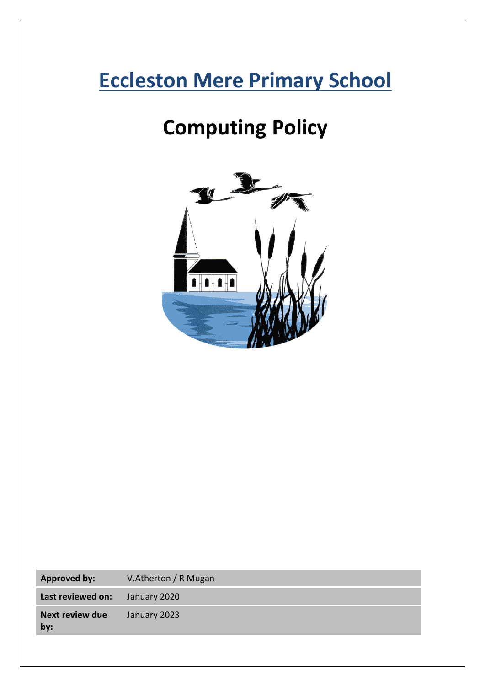# **Eccleston Mere Primary School**

# **Computing Policy**



| <b>Approved by:</b>           | V.Atherton / R Mugan |
|-------------------------------|----------------------|
| Last reviewed on:             | January 2020         |
| <b>Next review due</b><br>by: | January 2023         |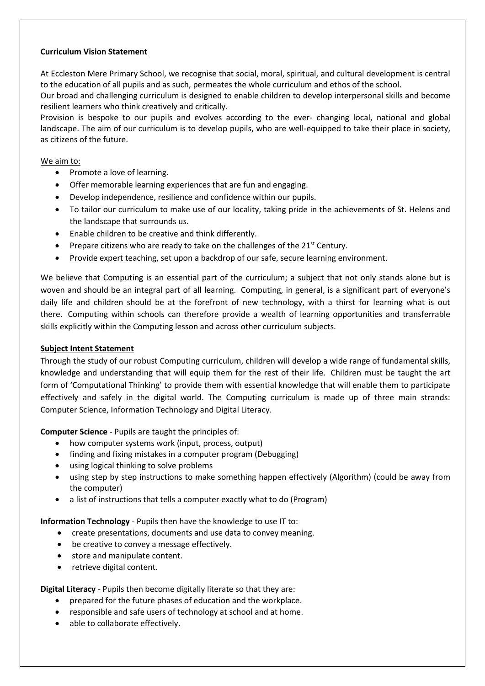## **Curriculum Vision Statement**

At Eccleston Mere Primary School, we recognise that social, moral, spiritual, and cultural development is central to the education of all pupils and as such, permeates the whole curriculum and ethos of the school.

Our broad and challenging curriculum is designed to enable children to develop interpersonal skills and become resilient learners who think creatively and critically.

Provision is bespoke to our pupils and evolves according to the ever- changing local, national and global landscape. The aim of our curriculum is to develop pupils, who are well-equipped to take their place in society, as citizens of the future.

#### We aim to:

- Promote a love of learning.
- Offer memorable learning experiences that are fun and engaging.
- Develop independence, resilience and confidence within our pupils.
- To tailor our curriculum to make use of our locality, taking pride in the achievements of St. Helens and the landscape that surrounds us.
- Enable children to be creative and think differently.
- Prepare citizens who are ready to take on the challenges of the  $21<sup>st</sup>$  Century.
- Provide expert teaching, set upon a backdrop of our safe, secure learning environment.

We believe that Computing is an essential part of the curriculum; a subject that not only stands alone but is woven and should be an integral part of all learning. Computing, in general, is a significant part of everyone's daily life and children should be at the forefront of new technology, with a thirst for learning what is out there. Computing within schools can therefore provide a wealth of learning opportunities and transferrable skills explicitly within the Computing lesson and across other curriculum subjects.

#### **Subject Intent Statement**

Through the study of our robust Computing curriculum, children will develop a wide range of fundamental skills, knowledge and understanding that will equip them for the rest of their life. Children must be taught the art form of 'Computational Thinking' to provide them with essential knowledge that will enable them to participate effectively and safely in the digital world. The Computing curriculum is made up of three main strands: Computer Science, Information Technology and Digital Literacy.

**Computer Science** - Pupils are taught the principles of:

- how computer systems work (input, process, output)
- finding and fixing mistakes in a computer program (Debugging)
- using logical thinking to solve problems
- using step by step instructions to make something happen effectively (Algorithm) (could be away from the computer)
- a list of instructions that tells a computer exactly what to do (Program)

**Information Technology** - Pupils then have the knowledge to use IT to:

- create presentations, documents and use data to convey meaning.
- be creative to convey a message effectively.
- store and manipulate content.
- retrieve digital content.

**Digital Literacy** - Pupils then become digitally literate so that they are:

- prepared for the future phases of education and the workplace.
- responsible and safe users of technology at school and at home.
- able to collaborate effectively.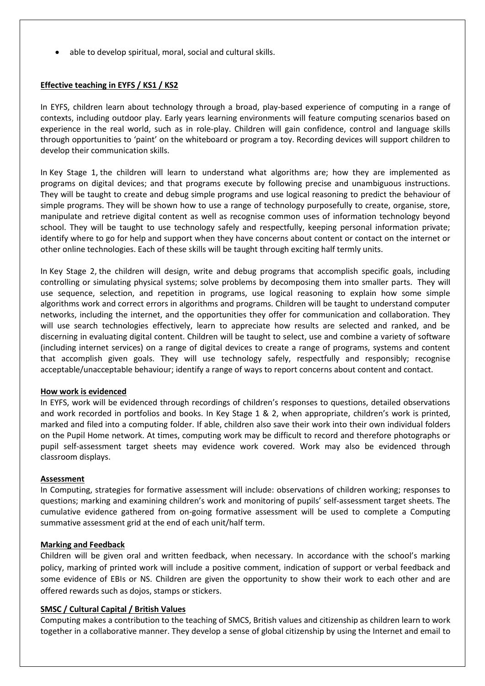• able to develop spiritual, moral, social and cultural skills.

### **Effective teaching in EYFS / KS1 / KS2**

In EYFS, children learn about technology through a broad, play-based experience of computing in a range of contexts, including outdoor play. Early years learning environments will feature computing scenarios based on experience in the real world, such as in role-play. Children will gain confidence, control and language skills through opportunities to 'paint' on the whiteboard or program a toy. Recording devices will support children to develop their communication skills.

In Key Stage 1, the children will learn to understand what algorithms are; how they are implemented as programs on digital devices; and that programs execute by following precise and unambiguous instructions. They will be taught to create and debug simple programs and use logical reasoning to predict the behaviour of simple programs. They will be shown how to use a range of technology purposefully to create, organise, store, manipulate and retrieve digital content as well as recognise common uses of information technology beyond school. They will be taught to use technology safely and respectfully, keeping personal information private; identify where to go for help and support when they have concerns about content or contact on the internet or other online technologies. Each of these skills will be taught through exciting half termly units.

In Key Stage 2, the children will design, write and debug programs that accomplish specific goals, including controlling or simulating physical systems; solve problems by decomposing them into smaller parts. They will use sequence, selection, and repetition in programs, use logical reasoning to explain how some simple algorithms work and correct errors in algorithms and programs. Children will be taught to understand computer networks, including the internet, and the opportunities they offer for communication and collaboration. They will use search technologies effectively, learn to appreciate how results are selected and ranked, and be discerning in evaluating digital content. Children will be taught to select, use and combine a variety of software (including internet services) on a range of digital devices to create a range of programs, systems and content that accomplish given goals. They will use technology safely, respectfully and responsibly; recognise acceptable/unacceptable behaviour; identify a range of ways to report concerns about content and contact.

#### **How work is evidenced**

In EYFS, work will be evidenced through recordings of children's responses to questions, detailed observations and work recorded in portfolios and books. In Key Stage 1 & 2, when appropriate, children's work is printed, marked and filed into a computing folder. If able, children also save their work into their own individual folders on the Pupil Home network. At times, computing work may be difficult to record and therefore photographs or pupil self-assessment target sheets may evidence work covered. Work may also be evidenced through classroom displays.

#### **Assessment**

In Computing, strategies for formative assessment will include: observations of children working; responses to questions; marking and examining children's work and monitoring of pupils' self-assessment target sheets. The cumulative evidence gathered from on-going formative assessment will be used to complete a Computing summative assessment grid at the end of each unit/half term.

#### **Marking and Feedback**

Children will be given oral and written feedback, when necessary. In accordance with the school's marking policy, marking of printed work will include a positive comment, indication of support or verbal feedback and some evidence of EBIs or NS. Children are given the opportunity to show their work to each other and are offered rewards such as dojos, stamps or stickers.

#### **SMSC / Cultural Capital / British Values**

Computing makes a contribution to the teaching of SMCS, British values and citizenship as children learn to work together in a collaborative manner. They develop a sense of global citizenship by using the Internet and email to